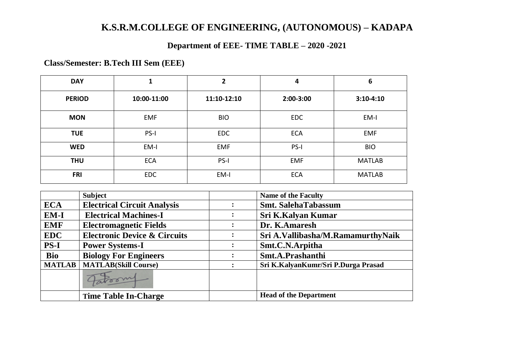# **K.S.R.M.COLLEGE OF ENGINEERING, (AUTONOMOUS) – KADAPA**

# **Department of EEE- TIME TABLE – 2020 -2021**

**Class/Semester: B.Tech III Sem (EEE)**

| <b>DAY</b>    | 1           | 2           | 4           | 6             |
|---------------|-------------|-------------|-------------|---------------|
| <b>PERIOD</b> | 10:00-11:00 | 11:10-12:10 | $2:00-3:00$ | $3:10-4:10$   |
| <b>MON</b>    | <b>EMF</b>  | <b>BIO</b>  | <b>EDC</b>  | EM-I          |
| <b>TUE</b>    | PS-I        | <b>EDC</b>  | <b>ECA</b>  | <b>EMF</b>    |
| <b>WED</b>    | EM-I        | <b>EMF</b>  | PS-I        | <b>BIO</b>    |
| <b>THU</b>    | <b>ECA</b>  | PS-I        | <b>EMF</b>  | <b>MATLAB</b> |
| <b>FRI</b>    | <b>EDC</b>  | EM-I        | <b>ECA</b>  | <b>MATLAB</b> |

|               | <b>Subject</b>                          | <b>Name of the Faculty</b>          |  |
|---------------|-----------------------------------------|-------------------------------------|--|
| <b>ECA</b>    | <b>Electrical Circuit Analysis</b>      | <b>Smt. SalehaTabassum</b>          |  |
| $EM-I$        | <b>Electrical Machines-I</b>            | Sri K.Kalyan Kumar                  |  |
| <b>EMF</b>    | <b>Electromagnetic Fields</b>           | Dr. K.Amaresh                       |  |
| <b>EDC</b>    | <b>Electronic Device &amp; Circuits</b> | Sri A.Vallibasha/M.RamamurthyNaik   |  |
| <b>PS-I</b>   | <b>Power Systems-I</b>                  | Smt.C.N.Arpitha                     |  |
| <b>Bio</b>    | <b>Biology For Engineers</b>            | Smt.A.Prashanthi                    |  |
| <b>MATLAB</b> | <b>MATLAB(Skill Course)</b>             | Sri K.KalyanKumr/Sri P.Durga Prasad |  |
|               | Jakoom                                  |                                     |  |
|               | <b>Time Table In-Charge</b>             | <b>Head of the Department</b>       |  |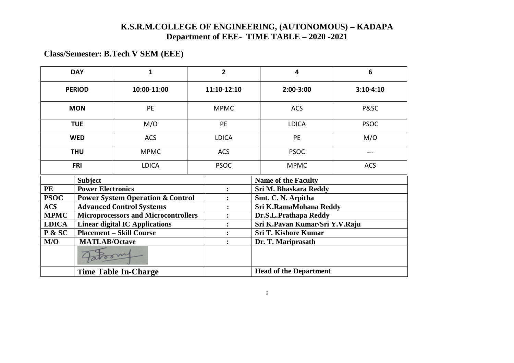#### **K.S.R.M.COLLEGE OF ENGINEERING, (AUTONOMOUS) – KADAPA Department of EEE- TIME TABLE – 2020 -2021**

 **:**

### **Class/Semester: B.Tech V SEM (EEE)**

| <b>DAY</b>    |                                        | $\mathbf{1}$                                | $\overline{2}$ | $\overline{\mathbf{4}}$        | 6           |  |
|---------------|----------------------------------------|---------------------------------------------|----------------|--------------------------------|-------------|--|
| <b>PERIOD</b> |                                        | 10:00-11:00                                 | 11:10-12:10    | 2:00-3:00                      | $3:10-4:10$ |  |
| <b>MON</b>    |                                        | PE                                          | <b>MPMC</b>    | <b>ACS</b>                     | P&SC        |  |
| <b>TUE</b>    |                                        | M/O                                         | PE             | <b>LDICA</b>                   | <b>PSOC</b> |  |
| <b>WED</b>    |                                        | <b>ACS</b>                                  | <b>LDICA</b>   | PE                             | M/O         |  |
| <b>THU</b>    |                                        | <b>MPMC</b>                                 | <b>ACS</b>     | <b>PSOC</b>                    | $---$       |  |
|               | <b>FRI</b>                             | <b>LDICA</b>                                | <b>PSOC</b>    | <b>MPMC</b>                    | <b>ACS</b>  |  |
|               | <b>Subject</b>                         |                                             |                | <b>Name of the Faculty</b>     |             |  |
| <b>PE</b>     | <b>Power Electronics</b>               |                                             |                | Sri M. Bhaskara Reddy          |             |  |
| <b>PSOC</b>   |                                        | <b>Power System Operation &amp; Control</b> |                | Smt. C. N. Arpitha             |             |  |
| <b>ACS</b>    | <b>Advanced Control Systems</b>        |                                             |                | Sri K.RamaMohana Reddy         |             |  |
| <b>MPMC</b>   |                                        | <b>Microprocessors and Microcontrollers</b> |                | Dr.S.L.Prathapa Reddy          |             |  |
| <b>LDICA</b>  |                                        | <b>Linear digital IC Applications</b>       |                | Sri K.Pavan Kumar/Sri Y.V.Raju |             |  |
| P & SC        | <b>Placement – Skill Course</b>        |                                             |                | <b>Sri T. Kishore Kumar</b>    |             |  |
| M/O           | <b>MATLAB/Octave</b><br>$\ddot{\cdot}$ |                                             |                | Dr. T. Mariprasath             |             |  |
|               |                                        |                                             |                |                                |             |  |
|               | <b>Time Table In-Charge</b>            |                                             |                | <b>Head of the Department</b>  |             |  |